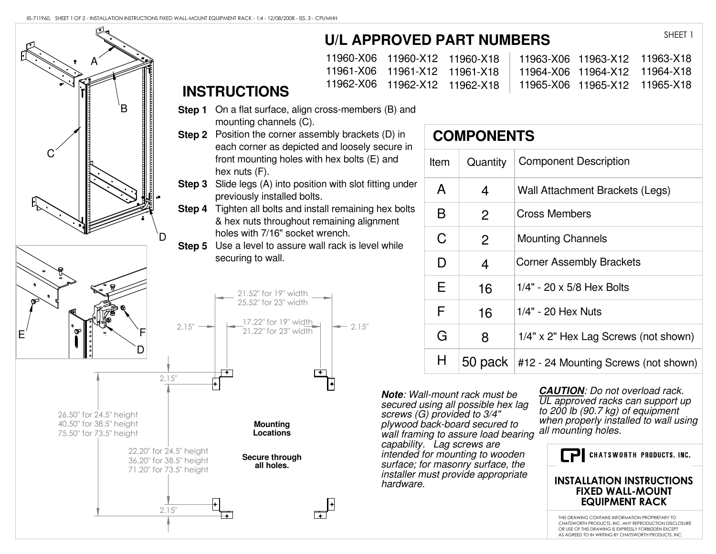